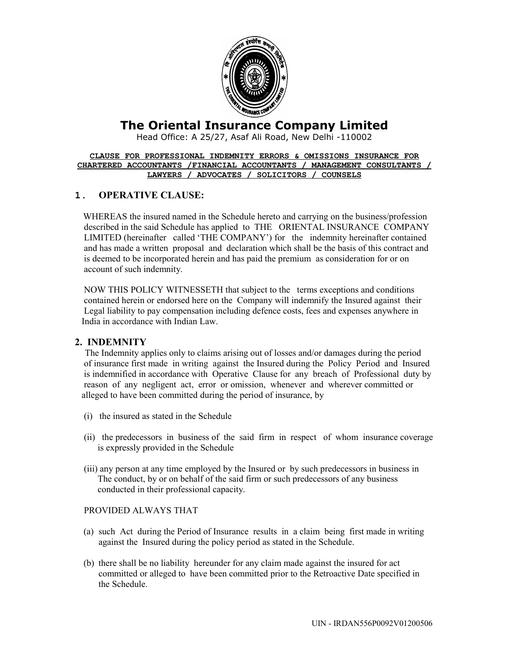

# **The Oriental Insurance Company Limited**

Head Office: A 25/27, Asaf Ali Road, New Delhi -110002

#### **CLAUSE FOR PROFESSIONAL INDEMNITY ERRORS & OMISSIONS INSURANCE FOR CHARTERED ACCOUNTANTS /FINANCIAL ACCOUNTANTS / MANAGEMENT CONSULTANTS / LAWYERS / ADVOCATES / SOLICITORS / COUNSELS**

### **1. OPERATIVE CLAUSE:**

WHEREAS the insured named in the Schedule hereto and carrying on the business/profession described in the said Schedule has applied to THE ORIENTAL INSURANCE COMPANY LIMITED (hereinafter called 'THE COMPANY') for the indemnity hereinafter contained and has made a written proposal and declaration which shall be the basis of this contract and is deemed to be incorporated herein and has paid the premium as consideration for or on account of such indemnity.

 NOW THIS POLICY WITNESSETH that subject to the terms exceptions and conditions contained herein or endorsed here on the Company will indemnify the Insured against their Legal liability to pay compensation including defence costs, fees and expenses anywhere in India in accordance with Indian Law.

### **2. INDEMNITY**

The Indemnity applies only to claims arising out of losses and/or damages during the period of insurance first made in writing against the Insured during the Policy Period and Insured is indemnified in accordance with Operative Clause for any breach of Professional duty by reason of any negligent act, error or omission, whenever and wherever committed or alleged to have been committed during the period of insurance, by

- (i) the insured as stated in the Schedule
- (ii) the predecessors in business of the said firm in respect of whom insurance coverage is expressly provided in the Schedule
- (iii) any person at any time employed by the Insured or by such predecessors in business in The conduct, by or on behalf of the said firm or such predecessors of any business conducted in their professional capacity.

#### PROVIDED ALWAYS THAT

- (a) such Act during the Period of Insurance results in a claim being first made in writing against the Insured during the policy period as stated in the Schedule.
- (b) there shall be no liability hereunder for any claim made against the insured for act committed or alleged to have been committed prior to the Retroactive Date specified in the Schedule.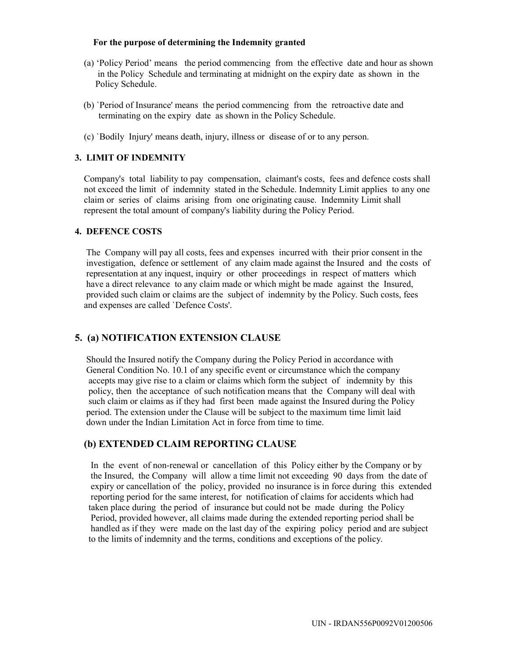#### **For the purpose of determining the Indemnity granted**

- (a) 'Policy Period' means the period commencing from the effective date and hour as shown in the Policy Schedule and terminating at midnight on the expiry date as shown in the Policy Schedule.
- (b) `Period of Insurance' means the period commencing from the retroactive date and terminating on the expiry date as shown in the Policy Schedule.
- (c) `Bodily Injury' means death, injury, illness or disease of or to any person.

#### **3. LIMIT OF INDEMNITY**

 Company's total liability to pay compensation, claimant's costs, fees and defence costs shall not exceed the limit of indemnity stated in the Schedule. Indemnity Limit applies to any one claim or series of claims arising from one originating cause. Indemnity Limit shall represent the total amount of company's liability during the Policy Period.

#### **4. DEFENCE COSTS**

 The Company will pay all costs, fees and expenses incurred with their prior consent in the investigation, defence or settlement of any claim made against the Insured and the costs of representation at any inquest, inquiry or other proceedings in respect of matters which have a direct relevance to any claim made or which might be made against the Insured, provided such claim or claims are the subject of indemnity by the Policy. Such costs, fees and expenses are called `Defence Costs'.

### **5. (a) NOTIFICATION EXTENSION CLAUSE**

 Should the Insured notify the Company during the Policy Period in accordance with General Condition No. 10.1 of any specific event or circumstance which the company accepts may give rise to a claim or claims which form the subject of indemnity by this policy, then the acceptance of such notification means that the Company will deal with such claim or claims as if they had first been made against the Insured during the Policy period. The extension under the Clause will be subject to the maximum time limit laid down under the Indian Limitation Act in force from time to time.

#### **(b) EXTENDED CLAIM REPORTING CLAUSE**

 In the event of non-renewal or cancellation of this Policy either by the Company or by the Insured, the Company will allow a time limit not exceeding 90 days from the date of expiry or cancellation of the policy, provided no insurance is in force during this extended reporting period for the same interest, for notification of claims for accidents which had taken place during the period of insurance but could not be made during the Policy Period, provided however, all claims made during the extended reporting period shall be handled as if they were made on the last day of the expiring policy period and are subject to the limits of indemnity and the terms, conditions and exceptions of the policy.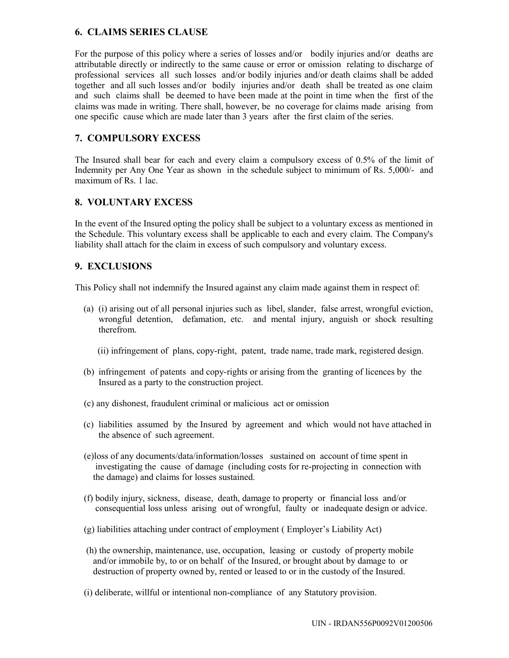### **6. CLAIMS SERIES CLAUSE**

For the purpose of this policy where a series of losses and/or bodily injuries and/or deaths are attributable directly or indirectly to the same cause or error or omission relating to discharge of professional services all such losses and/or bodily injuries and/or death claims shall be added together and all such losses and/or bodily injuries and/or death shall be treated as one claim and such claims shall be deemed to have been made at the point in time when the first of the claims was made in writing. There shall, however, be no coverage for claims made arising from one specific cause which are made later than 3 years after the first claim of the series.

# **7. COMPULSORY EXCESS**

The Insured shall bear for each and every claim a compulsory excess of 0.5% of the limit of Indemnity per Any One Year as shown in the schedule subject to minimum of Rs. 5,000/- and maximum of Rs. 1 lac.

### **8. VOLUNTARY EXCESS**

In the event of the Insured opting the policy shall be subject to a voluntary excess as mentioned in the Schedule. This voluntary excess shall be applicable to each and every claim. The Company's liability shall attach for the claim in excess of such compulsory and voluntary excess.

#### **9. EXCLUSIONS**

This Policy shall not indemnify the Insured against any claim made against them in respect of:

- (a) (i) arising out of all personal injuries such as libel, slander, false arrest, wrongful eviction, wrongful detention, defamation, etc. and mental injury, anguish or shock resulting therefrom.
	- (ii) infringement of plans, copy-right, patent, trade name, trade mark, registered design.
- (b) infringement of patents and copy-rights or arising from the granting of licences by the Insured as a party to the construction project.
- (c) any dishonest, fraudulent criminal or malicious act or omission
- (c) liabilities assumed by the Insured by agreement and which would not have attached in the absence of such agreement.
- (e)loss of any documents/data/information/losses sustained on account of time spent in investigating the cause of damage (including costs for re-projecting in connection with the damage) and claims for losses sustained.
- (f) bodily injury, sickness, disease, death, damage to property or financial loss and/or consequential loss unless arising out of wrongful, faulty or inadequate design or advice.
- (g) liabilities attaching under contract of employment ( Employer's Liability Act)
- (h) the ownership, maintenance, use, occupation, leasing or custody of property mobile and/or immobile by, to or on behalf of the Insured, or brought about by damage to or destruction of property owned by, rented or leased to or in the custody of the Insured.
- (i) deliberate, willful or intentional non-compliance of any Statutory provision.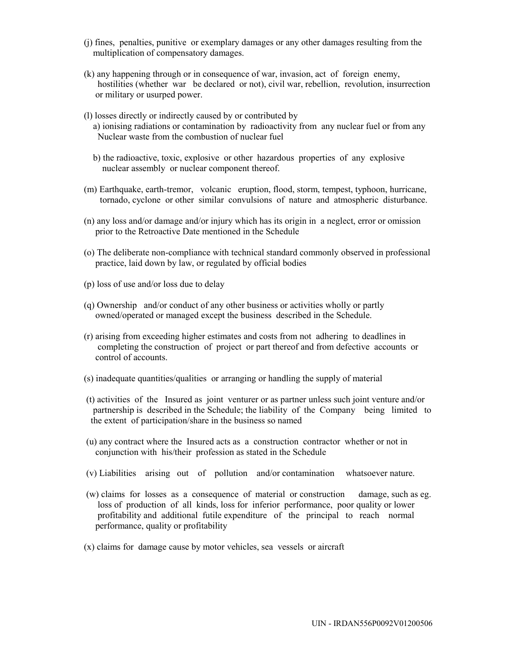- (j) fines, penalties, punitive or exemplary damages or any other damages resulting from the multiplication of compensatory damages.
- (k) any happening through or in consequence of war, invasion, act of foreign enemy, hostilities (whether war be declared or not), civil war, rebellion, revolution, insurrection or military or usurped power.
- (l) losses directly or indirectly caused by or contributed by a) ionising radiations or contamination by radioactivity from any nuclear fuel or from any Nuclear waste from the combustion of nuclear fuel
	- b) the radioactive, toxic, explosive or other hazardous properties of any explosive nuclear assembly or nuclear component thereof.
- (m) Earthquake, earth-tremor, volcanic eruption, flood, storm, tempest, typhoon, hurricane, tornado, cyclone or other similar convulsions of nature and atmospheric disturbance.
- (n) any loss and/or damage and/or injury which has its origin in a neglect, error or omission prior to the Retroactive Date mentioned in the Schedule
- (o) The deliberate non-compliance with technical standard commonly observed in professional practice, laid down by law, or regulated by official bodies
- (p) loss of use and/or loss due to delay
- (q) Ownership and/or conduct of any other business or activities wholly or partly owned/operated or managed except the business described in the Schedule.
- (r) arising from exceeding higher estimates and costs from not adhering to deadlines in completing the construction of project or part thereof and from defective accounts or control of accounts.
- (s) inadequate quantities/qualities or arranging or handling the supply of material
- (t) activities of the Insured as joint venturer or as partner unless such joint venture and/or partnership is described in the Schedule; the liability of the Company being limited to the extent of participation/share in the business so named
- (u) any contract where the Insured acts as a construction contractor whether or not in conjunction with his/their profession as stated in the Schedule
- (v) Liabilities arising out of pollution and/or contamination whatsoever nature.
- (w) claims for losses as a consequence of material or construction damage, such as eg. loss of production of all kinds, loss for inferior performance, poor quality or lower profitability and additional futile expenditure of the principal to reach normal performance, quality or profitability
- (x) claims for damage cause by motor vehicles, sea vessels or aircraft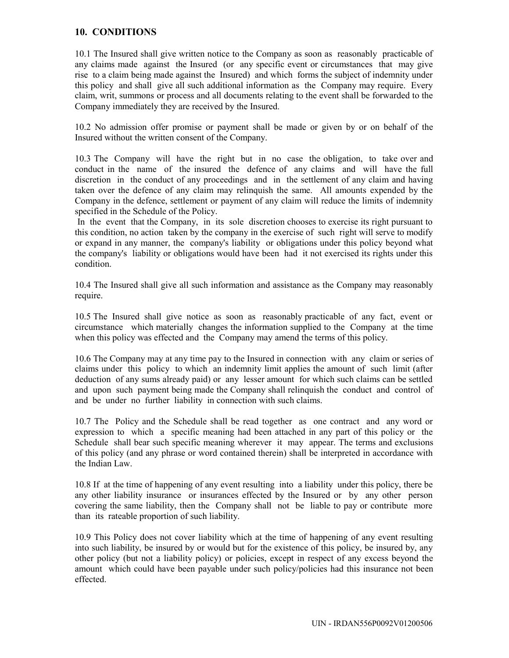# **10. CONDITIONS**

10.1 The Insured shall give written notice to the Company as soon as reasonably practicable of any claims made against the Insured (or any specific event or circumstances that may give rise to a claim being made against the Insured) and which forms the subject of indemnity under this policy and shall give all such additional information as the Company may require. Every claim, writ, summons or process and all documents relating to the event shall be forwarded to the Company immediately they are received by the Insured.

10.2 No admission offer promise or payment shall be made or given by or on behalf of the Insured without the written consent of the Company.

10.3 The Company will have the right but in no case the obligation, to take over and conduct in the name of the insured the defence of any claims and will have the full discretion in the conduct of any proceedings and in the settlement of any claim and having taken over the defence of any claim may relinquish the same. All amounts expended by the Company in the defence, settlement or payment of any claim will reduce the limits of indemnity specified in the Schedule of the Policy.

 In the event that the Company, in its sole discretion chooses to exercise its right pursuant to this condition, no action taken by the company in the exercise of such right will serve to modify or expand in any manner, the company's liability or obligations under this policy beyond what the company's liability or obligations would have been had it not exercised its rights under this condition.

10.4 The Insured shall give all such information and assistance as the Company may reasonably require.

10.5 The Insured shall give notice as soon as reasonably practicable of any fact, event or circumstance which materially changes the information supplied to the Company at the time when this policy was effected and the Company may amend the terms of this policy.

10.6 The Company may at any time pay to the Insured in connection with any claim or series of claims under this policy to which an indemnity limit applies the amount of such limit (after deduction of any sums already paid) or any lesser amount for which such claims can be settled and upon such payment being made the Company shall relinquish the conduct and control of and be under no further liability in connection with such claims.

10.7 The Policy and the Schedule shall be read together as one contract and any word or expression to which a specific meaning had been attached in any part of this policy or the Schedule shall bear such specific meaning wherever it may appear. The terms and exclusions of this policy (and any phrase or word contained therein) shall be interpreted in accordance with the Indian Law.

10.8 If at the time of happening of any event resulting into a liability under this policy, there be any other liability insurance or insurances effected by the Insured or by any other person covering the same liability, then the Company shall not be liable to pay or contribute more than its rateable proportion of such liability.

10.9 This Policy does not cover liability which at the time of happening of any event resulting into such liability, be insured by or would but for the existence of this policy, be insured by, any other policy (but not a liability policy) or policies, except in respect of any excess beyond the amount which could have been payable under such policy/policies had this insurance not been effected.